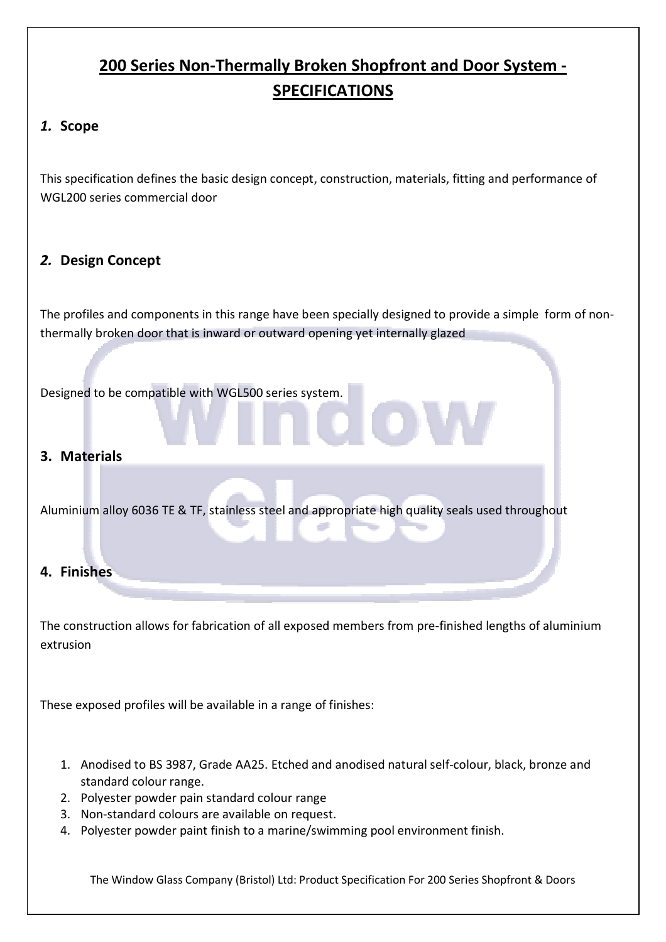# 200 Series Non-Thermally Broken Shopfront and Door System - SPECIFICATIONS

## 1. Scope

This specification defines the basic design concept, construction, materials, fitting and performance of WGL200 series commercial door

## 2. Design Concept

The profiles and components in this range have been specially designed to provide a simple form of nonthermally broken door that is inward or outward opening yet internally glazed

Designed to be compatible with WGL500 series system.

### 3. Materials

Aluminium alloy 6036 TE & TF, stainless steel and appropriate high quality seals used throughout

#### 4. Finishes

The construction allows for fabrication of all exposed members from pre-finished lengths of aluminium extrusion

These exposed profiles will be available in a range of finishes:

- 1. Anodised to BS 3987, Grade AA25. Etched and anodised natural self-colour, black, bronze and standard colour range.
- 2. Polyester powder pain standard colour range
- 3. Non-standard colours are available on request.
- 4. Polyester powder paint finish to a marine/swimming pool environment finish.

The Window Glass Company (Bristol) Ltd: Product Specification For 200 Series Shopfront & Doors